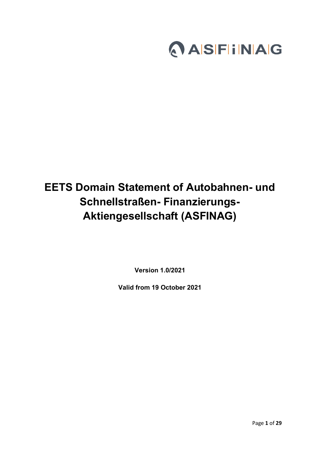

# **EETS Domain Statement of Autobahnen- und Schnellstraßen- Finanzierungs-Aktiengesellschaft (ASFINAG)**

**Version 1.0/2021**

**Valid from 19 October 2021**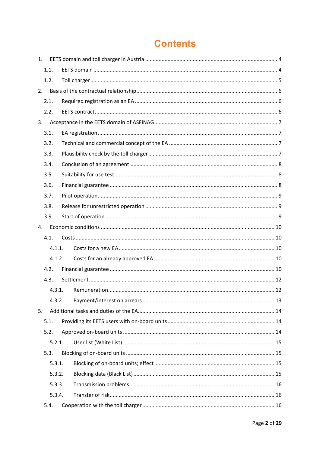# **Contents**

| 1.     |        |  |
|--------|--------|--|
|        | 1.1.   |  |
|        | 1.2.   |  |
| 2.     |        |  |
|        | 2.1.   |  |
|        | 2.2.   |  |
| 3.     |        |  |
|        | 3.1.   |  |
|        | 3.2.   |  |
|        | 3.3.   |  |
|        | 3.4.   |  |
|        | 3.5.   |  |
|        | 3.6.   |  |
|        | 3.7.   |  |
|        | 3.8.   |  |
|        | 3.9.   |  |
| 4.     |        |  |
|        | 4.1.   |  |
|        | 4.1.1. |  |
|        | 4.1.2. |  |
|        | 4.2.   |  |
|        | 4.3.   |  |
|        | 4.3.1. |  |
|        | 4.3.2. |  |
| 5.     |        |  |
|        | 5.1.   |  |
|        | 5.2.   |  |
|        | 5.2.1. |  |
|        | 5.3.   |  |
|        | 5.3.1. |  |
|        | 5.3.2. |  |
| 5.3.3. |        |  |
|        |        |  |
|        | 5.3.4. |  |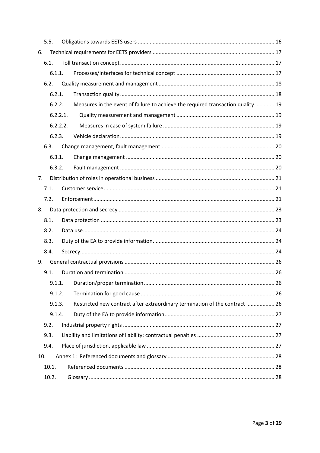|                | 5.5.     |  |                                                                                  |  |
|----------------|----------|--|----------------------------------------------------------------------------------|--|
| 6.             |          |  |                                                                                  |  |
|                | 6.1.     |  |                                                                                  |  |
|                | 6.1.1.   |  |                                                                                  |  |
|                | 6.2.     |  |                                                                                  |  |
|                | 6.2.1.   |  |                                                                                  |  |
|                | 6.2.2.   |  | Measures in the event of failure to achieve the required transaction quality  19 |  |
|                | 6.2.2.1. |  |                                                                                  |  |
|                | 6.2.2.2. |  |                                                                                  |  |
|                | 6.2.3.   |  |                                                                                  |  |
|                | 6.3.     |  |                                                                                  |  |
|                | 6.3.1.   |  |                                                                                  |  |
|                | 6.3.2.   |  |                                                                                  |  |
| 7 <sub>1</sub> |          |  |                                                                                  |  |
|                | 7.1.     |  |                                                                                  |  |
|                | 7.2.     |  |                                                                                  |  |
| 8.             |          |  |                                                                                  |  |
|                | 8.1.     |  |                                                                                  |  |
|                | 8.2.     |  |                                                                                  |  |
|                | 8.3.     |  |                                                                                  |  |
|                | 8.4.     |  |                                                                                  |  |
| 9.             |          |  |                                                                                  |  |
|                | 9.1.     |  |                                                                                  |  |
|                | 9.1.1.   |  |                                                                                  |  |
|                | 9.1.2.   |  |                                                                                  |  |
|                | 9.1.3.   |  | Restricted new contract after extraordinary termination of the contract  26      |  |
|                | 9.1.4.   |  |                                                                                  |  |
|                | 9.2.     |  |                                                                                  |  |
|                | 9.3.     |  |                                                                                  |  |
|                | 9.4.     |  |                                                                                  |  |
| 10.            |          |  |                                                                                  |  |
|                | 10.1.    |  |                                                                                  |  |
|                | 10.2.    |  |                                                                                  |  |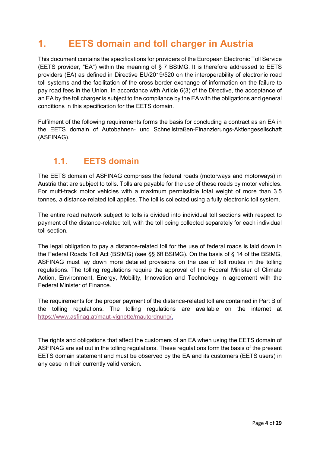# <span id="page-3-0"></span>**1. EETS domain and toll charger in Austria**

This document contains the specifications for providers of the European Electronic Toll Service (EETS provider, "EA") within the meaning of § 7 BStMG. It is therefore addressed to EETS providers (EA) as defined in Directive EU/2019/520 on the interoperability of electronic road toll systems and the facilitation of the cross-border exchange of information on the failure to pay road fees in the Union. In accordance with Article 6(3) of the Directive, the acceptance of an EA by the toll charger is subject to the compliance by the EA with the obligations and general conditions in this specification for the EETS domain.

Fulfilment of the following requirements forms the basis for concluding a contract as an EA in the EETS domain of Autobahnen- und Schnellstraßen-Finanzierungs-Aktiengesellschaft (ASFINAG).

### <span id="page-3-1"></span>**1.1. EETS domain**

The EETS domain of ASFINAG comprises the federal roads (motorways and motorways) in Austria that are subject to tolls. Tolls are payable for the use of these roads by motor vehicles. For multi-track motor vehicles with a maximum permissible total weight of more than 3.5 tonnes, a distance-related toll applies. The toll is collected using a fully electronic toll system.

The entire road network subject to tolls is divided into individual toll sections with respect to payment of the distance-related toll, with the toll being collected separately for each individual toll section.

The legal obligation to pay a distance-related toll for the use of federal roads is laid down in the Federal Roads Toll Act (BStMG) (see §§ 6ff BStMG). On the basis of § 14 of the BStMG, ASFINAG must lay down more detailed provisions on the use of toll routes in the tolling regulations. The tolling regulations require the approval of the Federal Minister of Climate Action, Environment, Energy, Mobility, Innovation and Technology in agreement with the Federal Minister of Finance.

The requirements for the proper payment of the distance-related toll are contained in Part B of the tolling regulations. The tolling regulations are available on the internet at [https://www.asfinag.at/maut-vignette/mautordnung/.](https://www.asfinag.at/maut-vignette/mautordnung/)

The rights and obligations that affect the customers of an EA when using the EETS domain of ASFINAG are set out in the tolling regulations. These regulations form the basis of the present EETS domain statement and must be observed by the EA and its customers (EETS users) in any case in their currently valid version.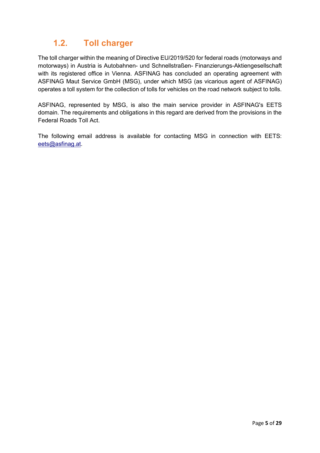## <span id="page-4-0"></span>**1.2. Toll charger**

The toll charger within the meaning of Directive EU/2019/520 for federal roads (motorways and motorways) in Austria is Autobahnen- und Schnellstraßen- Finanzierungs-Aktiengesellschaft with its registered office in Vienna. ASFINAG has concluded an operating agreement with ASFINAG Maut Service GmbH (MSG), under which MSG (as vicarious agent of ASFINAG) operates a toll system for the collection of tolls for vehicles on the road network subject to tolls.

ASFINAG, represented by MSG, is also the main service provider in ASFINAG's EETS domain. The requirements and obligations in this regard are derived from the provisions in the Federal Roads Toll Act.

The following email address is available for contacting MSG in connection with EETS: [eets@asfinag.at.](mailto:eets@asfinag.at)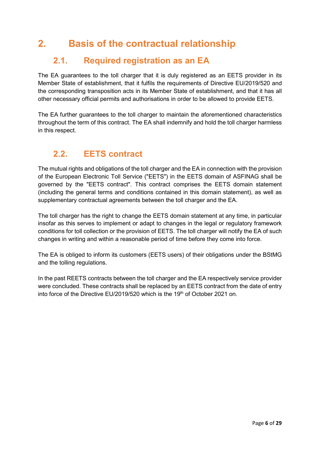# <span id="page-5-0"></span>**2. Basis of the contractual relationship**

## <span id="page-5-1"></span>**2.1. Required registration as an EA**

The EA guarantees to the toll charger that it is duly registered as an EETS provider in its Member State of establishment, that it fulfils the requirements of Directive EU/2019/520 and the corresponding transposition acts in its Member State of establishment, and that it has all other necessary official permits and authorisations in order to be allowed to provide EETS.

The EA further guarantees to the toll charger to maintain the aforementioned characteristics throughout the term of this contract. The EA shall indemnify and hold the toll charger harmless in this respect.

## <span id="page-5-2"></span>**2.2. EETS contract**

The mutual rights and obligations of the toll charger and the EA in connection with the provision of the European Electronic Toll Service ("EETS") in the EETS domain of ASFINAG shall be governed by the "EETS contract". This contract comprises the EETS domain statement (including the general terms and conditions contained in this domain statement), as well as supplementary contractual agreements between the toll charger and the EA.

The toll charger has the right to change the EETS domain statement at any time, in particular insofar as this serves to implement or adapt to changes in the legal or regulatory framework conditions for toll collection or the provision of EETS. The toll charger will notify the EA of such changes in writing and within a reasonable period of time before they come into force.

The EA is obliged to inform its customers (EETS users) of their obligations under the BStMG and the tolling regulations.

In the past REETS contracts between the toll charger and the EA respectively service provider were concluded. These contracts shall be replaced by an EETS contract from the date of entry into force of the Directive EU/2019/520 which is the 19<sup>th</sup> of October 2021 on.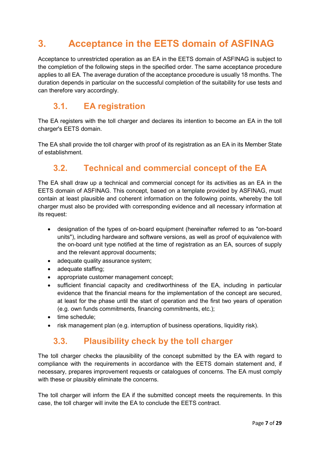# <span id="page-6-0"></span>**3. Acceptance in the EETS domain of ASFINAG**

Acceptance to unrestricted operation as an EA in the EETS domain of ASFINAG is subject to the completion of the following steps in the specified order. The same acceptance procedure applies to all EA. The average duration of the acceptance procedure is usually 18 months. The duration depends in particular on the successful completion of the suitability for use tests and can therefore vary accordingly.

### <span id="page-6-1"></span>**3.1. EA registration**

The EA registers with the toll charger and declares its intention to become an EA in the toll charger's EETS domain.

<span id="page-6-2"></span>The EA shall provide the toll charger with proof of its registration as an EA in its Member State of establishment.

## **3.2. Technical and commercial concept of the EA**

The EA shall draw up a technical and commercial concept for its activities as an EA in the EETS domain of ASFINAG. This concept, based on a template provided by ASFINAG, must contain at least plausible and coherent information on the following points, whereby the toll charger must also be provided with corresponding evidence and all necessary information at its request:

- designation of the types of on-board equipment (hereinafter referred to as "on-board units"), including hardware and software versions, as well as proof of equivalence with the on-board unit type notified at the time of registration as an EA, sources of supply and the relevant approval documents;
- adequate quality assurance system;
- adequate staffing;
- appropriate customer management concept;
- sufficient financial capacity and creditworthiness of the EA, including in particular evidence that the financial means for the implementation of the concept are secured, at least for the phase until the start of operation and the first two years of operation (e.g. own funds commitments, financing commitments, etc.);
- time schedule:
- risk management plan (e.g. interruption of business operations, liquidity risk).

### <span id="page-6-3"></span>**3.3. Plausibility check by the toll charger**

The toll charger checks the plausibility of the concept submitted by the EA with regard to compliance with the requirements in accordance with the EETS domain statement and, if necessary, prepares improvement requests or catalogues of concerns. The EA must comply with these or plausibly eliminate the concerns.

The toll charger will inform the EA if the submitted concept meets the requirements. In this case, the toll charger will invite the EA to conclude the EETS contract.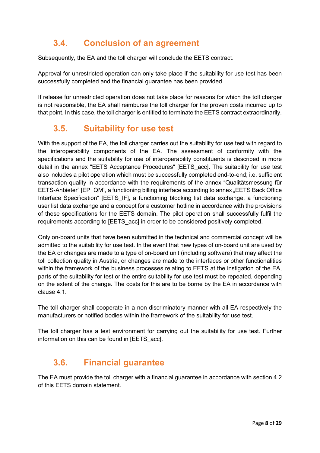## <span id="page-7-0"></span>**3.4. Conclusion of an agreement**

Subsequently, the EA and the toll charger will conclude the EETS contract.

Approval for unrestricted operation can only take place if the suitability for use test has been successfully completed and the financial guarantee has been provided.

If release for unrestricted operation does not take place for reasons for which the toll charger is not responsible, the EA shall reimburse the toll charger for the proven costs incurred up to that point. In this case, the toll charger is entitled to terminate the EETS contract extraordinarily.

## <span id="page-7-1"></span>**3.5. Suitability for use test**

With the support of the EA, the toll charger carries out the suitability for use test with regard to the interoperability components of the EA. The assessment of conformity with the specifications and the suitability for use of interoperability constituents is described in more detail in the annex "EETS Acceptance Procedures" [EETS\_acc]. The suitability for use test also includes a pilot operation which must be successfully completed end-to-end; i.e. sufficient transaction quality in accordance with the requirements of the annex "Qualitätsmessung für EETS-Anbieter" [EP\_QM], a functioning billing interface according to annex "EETS Back Office Interface Specification" [EETS IF], a functioning blocking list data exchange, a functioning user list data exchange and a concept for a customer hotline in accordance with the provisions of these specifications for the EETS domain. The pilot operation shall successfully fulfil the requirements according to [EETS\_acc] in order to be considered positively completed.

Only on-board units that have been submitted in the technical and commercial concept will be admitted to the suitability for use test. In the event that new types of on-board unit are used by the EA or changes are made to a type of on-board unit (including software) that may affect the toll collection quality in Austria, or changes are made to the interfaces or other functionalities within the framework of the business processes relating to EETS at the instigation of the EA, parts of the suitability for test or the entire suitability for use test must be repeated, depending on the extent of the change. The costs for this are to be borne by the EA in accordance with clause 4.1.

The toll charger shall cooperate in a non-discriminatory manner with all EA respectively the manufacturers or notified bodies within the framework of the suitability for use test.

The toll charger has a test environment for carrying out the suitability for use test. Further information on this can be found in [EETS\_acc].

## <span id="page-7-2"></span>**3.6. Financial guarantee**

The EA must provide the toll charger with a financial guarantee in accordance with section 4.2 of this EETS domain statement.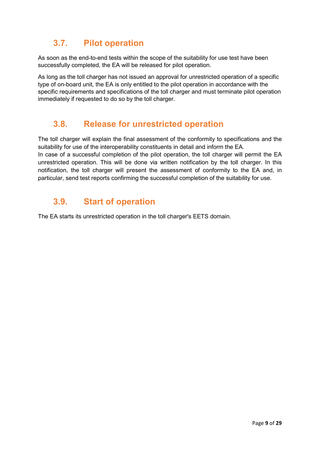## <span id="page-8-0"></span>**3.7. Pilot operation**

As soon as the end-to-end tests within the scope of the suitability for use test have been successfully completed, the EA will be released for pilot operation.

As long as the toll charger has not issued an approval for unrestricted operation of a specific type of on-board unit, the EA is only entitled to the pilot operation in accordance with the specific requirements and specifications of the toll charger and must terminate pilot operation immediately if requested to do so by the toll charger.

### <span id="page-8-1"></span>**3.8. Release for unrestricted operation**

The toll charger will explain the final assessment of the conformity to specifications and the suitability for use of the interoperability constituents in detail and inform the EA. In case of a successful completion of the pilot operation, the toll charger will permit the EA unrestricted operation. This will be done via written notification by the toll charger. In this notification, the toll charger will present the assessment of conformity to the EA and, in particular, send test reports confirming the successful completion of the suitability for use.

### <span id="page-8-2"></span>**3.9. Start of operation**

The EA starts its unrestricted operation in the toll charger's EETS domain.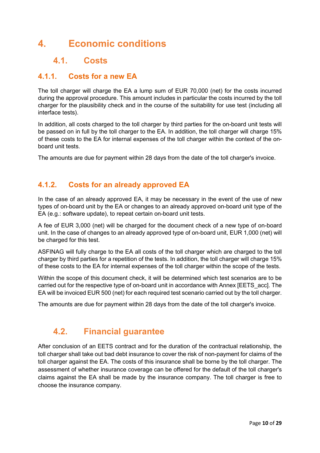# <span id="page-9-0"></span>**4. Economic conditions**

### <span id="page-9-1"></span>**4.1. Costs**

### <span id="page-9-2"></span>**4.1.1. Costs for a new EA**

The toll charger will charge the EA a lump sum of EUR 70,000 (net) for the costs incurred during the approval procedure. This amount includes in particular the costs incurred by the toll charger for the plausibility check and in the course of the suitability for use test (including all interface tests).

In addition, all costs charged to the toll charger by third parties for the on-board unit tests will be passed on in full by the toll charger to the EA. In addition, the toll charger will charge 15% of these costs to the EA for internal expenses of the toll charger within the context of the onboard unit tests.

The amounts are due for payment within 28 days from the date of the toll charger's invoice.

### <span id="page-9-3"></span>**4.1.2. Costs for an already approved EA**

In the case of an already approved EA, it may be necessary in the event of the use of new types of on-board unit by the EA or changes to an already approved on-board unit type of the EA (e.g.: software update), to repeat certain on-board unit tests.

A fee of EUR 3,000 (net) will be charged for the document check of a new type of on-board unit. In the case of changes to an already approved type of on-board unit, EUR 1,000 (net) will be charged for this test.

ASFINAG will fully charge to the EA all costs of the toll charger which are charged to the toll charger by third parties for a repetition of the tests. In addition, the toll charger will charge 15% of these costs to the EA for internal expenses of the toll charger within the scope of the tests.

Within the scope of this document check, it will be determined which test scenarios are to be carried out for the respective type of on-board unit in accordance with Annex [EETS\_acc]. The EA will be invoiced EUR 500 (net) for each required test scenario carried out by the toll charger.

The amounts are due for payment within 28 days from the date of the toll charger's invoice.

### <span id="page-9-4"></span>**4.2. Financial guarantee**

After conclusion of an EETS contract and for the duration of the contractual relationship, the toll charger shall take out bad debt insurance to cover the risk of non-payment for claims of the toll charger against the EA. The costs of this insurance shall be borne by the toll charger. The assessment of whether insurance coverage can be offered for the default of the toll charger's claims against the EA shall be made by the insurance company. The toll charger is free to choose the insurance company.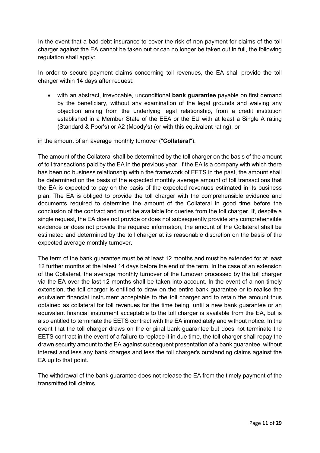In the event that a bad debt insurance to cover the risk of non-payment for claims of the toll charger against the EA cannot be taken out or can no longer be taken out in full, the following regulation shall apply:

In order to secure payment claims concerning toll revenues, the EA shall provide the toll charger within 14 days after request:

• with an abstract, irrevocable, unconditional **bank guarantee** payable on first demand by the beneficiary, without any examination of the legal grounds and waiving any objection arising from the underlying legal relationship, from a credit institution established in a Member State of the EEA or the EU with at least a Single A rating (Standard & Poor's) or A2 (Moody's) (or with this equivalent rating), or

in the amount of an average monthly turnover ("**Collateral**").

The amount of the Collateral shall be determined by the toll charger on the basis of the amount of toll transactions paid by the EA in the previous year. If the EA is a company with which there has been no business relationship within the framework of EETS in the past, the amount shall be determined on the basis of the expected monthly average amount of toll transactions that the EA is expected to pay on the basis of the expected revenues estimated in its business plan. The EA is obliged to provide the toll charger with the comprehensible evidence and documents required to determine the amount of the Collateral in good time before the conclusion of the contract and must be available for queries from the toll charger. If, despite a single request, the EA does not provide or does not subsequently provide any comprehensible evidence or does not provide the required information, the amount of the Collateral shall be estimated and determined by the toll charger at its reasonable discretion on the basis of the expected average monthly turnover.

The term of the bank guarantee must be at least 12 months and must be extended for at least 12 further months at the latest 14 days before the end of the term. In the case of an extension of the Collateral, the average monthly turnover of the turnover processed by the toll charger via the EA over the last 12 months shall be taken into account. In the event of a non-timely extension, the toll charger is entitled to draw on the entire bank guarantee or to realise the equivalent financial instrument acceptable to the toll charger and to retain the amount thus obtained as collateral for toll revenues for the time being, until a new bank guarantee or an equivalent financial instrument acceptable to the toll charger is available from the EA, but is also entitled to terminate the EETS contract with the EA immediately and without notice. In the event that the toll charger draws on the original bank guarantee but does not terminate the EETS contract in the event of a failure to replace it in due time, the toll charger shall repay the drawn security amount to the EA against subsequent presentation of a bank guarantee, without interest and less any bank charges and less the toll charger's outstanding claims against the EA up to that point.

The withdrawal of the bank guarantee does not release the EA from the timely payment of the transmitted toll claims.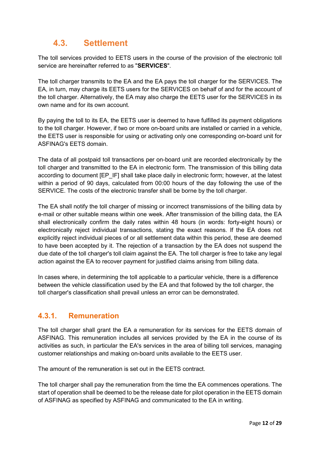## <span id="page-11-0"></span>**4.3. Settlement**

The toll services provided to EETS users in the course of the provision of the electronic toll service are hereinafter referred to as "**SERVICES**".

The toll charger transmits to the EA and the EA pays the toll charger for the SERVICES. The EA, in turn, may charge its EETS users for the SERVICES on behalf of and for the account of the toll charger. Alternatively, the EA may also charge the EETS user for the SERVICES in its own name and for its own account.

By paying the toll to its EA, the EETS user is deemed to have fulfilled its payment obligations to the toll charger. However, if two or more on-board units are installed or carried in a vehicle, the EETS user is responsible for using or activating only one corresponding on-board unit for ASFINAG's EETS domain.

The data of all postpaid toll transactions per on-board unit are recorded electronically by the toll charger and transmitted to the EA in electronic form. The transmission of this billing data according to document [EP\_IF] shall take place daily in electronic form; however, at the latest within a period of 90 days, calculated from 00:00 hours of the day following the use of the SERVICE. The costs of the electronic transfer shall be borne by the toll charger.

The EA shall notify the toll charger of missing or incorrect transmissions of the billing data by e-mail or other suitable means within one week. After transmission of the billing data, the EA shall electronically confirm the daily rates within 48 hours (in words: forty-eight hours) or electronically reject individual transactions, stating the exact reasons. If the EA does not explicitly reject individual pieces of or all settlement data within this period, these are deemed to have been accepted by it. The rejection of a transaction by the EA does not suspend the due date of the toll charger's toll claim against the EA. The toll charger is free to take any legal action against the EA to recover payment for justified claims arising from billing data.

In cases where, in determining the toll applicable to a particular vehicle, there is a difference between the vehicle classification used by the EA and that followed by the toll charger, the toll charger's classification shall prevail unless an error can be demonstrated.

### <span id="page-11-1"></span>**4.3.1. Remuneration**

The toll charger shall grant the EA a remuneration for its services for the EETS domain of ASFINAG. This remuneration includes all services provided by the EA in the course of its activities as such, in particular the EA's services in the area of billing toll services, managing customer relationships and making on-board units available to the EETS user.

The amount of the remuneration is set out in the EETS contract.

The toll charger shall pay the remuneration from the time the EA commences operations. The start of operation shall be deemed to be the release date for pilot operation in the EETS domain of ASFINAG as specified by ASFINAG and communicated to the EA in writing.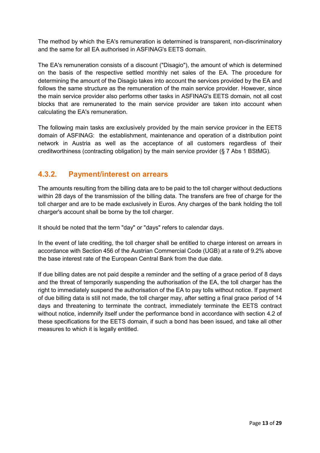The method by which the EA's remuneration is determined is transparent, non-discriminatory and the same for all EA authorised in ASFINAG's EETS domain.

The EA's remuneration consists of a discount ("Disagio"), the amount of which is determined on the basis of the respective settled monthly net sales of the EA. The procedure for determining the amount of the Disagio takes into account the services provided by the EA and follows the same structure as the remuneration of the main service provider. However, since the main service provider also performs other tasks in ASFINAG's EETS domain, not all cost blocks that are remunerated to the main service provider are taken into account when calculating the EA's remuneration.

The following main tasks are exclusively provided by the main service provicer in the EETS domain of ASFINAG: the establishment, maintenance and operation of a distribution point network in Austria as well as the acceptance of all customers regardless of their creditworthiness (contracting obligation) by the main service provider (§ 7 Abs 1 BStMG).

### <span id="page-12-0"></span>**4.3.2. Payment/interest on arrears**

The amounts resulting from the billing data are to be paid to the toll charger without deductions within 28 days of the transmission of the billing data. The transfers are free of charge for the toll charger and are to be made exclusively in Euros. Any charges of the bank holding the toll charger's account shall be borne by the toll charger.

It should be noted that the term "day" or "days" refers to calendar days.

In the event of late crediting, the toll charger shall be entitled to charge interest on arrears in accordance with Section 456 of the Austrian Commercial Code (UGB) at a rate of 9.2% above the base interest rate of the European Central Bank from the due date.

If due billing dates are not paid despite a reminder and the setting of a grace period of 8 days and the threat of temporarily suspending the authorisation of the EA, the toll charger has the right to immediately suspend the authorisation of the EA to pay tolls without notice. If payment of due billing data is still not made, the toll charger may, after setting a final grace period of 14 days and threatening to terminate the contract, immediately terminate the EETS contract without notice, indemnify itself under the performance bond in accordance with section 4.2 of these specifications for the EETS domain, if such a bond has been issued, and take all other measures to which it is legally entitled.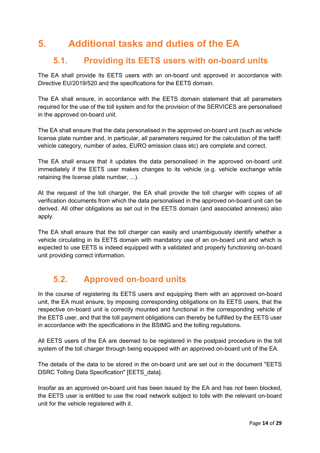# <span id="page-13-0"></span>**5. Additional tasks and duties of the EA**

### <span id="page-13-1"></span>**5.1. Providing its EETS users with on-board units**

The EA shall provide its EETS users with an on-board unit approved in accordance with Directive EU/2019/520 and the specifications for the EETS domain.

The EA shall ensure, in accordance with the EETS domain statement that all parameters required for the use of the toll system and for the provision of the SERVICES are personalised in the approved on-board unit.

The EA shall ensure that the data personalised in the approved on-board unit (such as vehicle license plate number and, in particular, all parameters required for the calculation of the tariff: vehicle category, number of axles, EURO emission class etc) are complete and correct.

The EA shall ensure that it updates the data personalised in the approved on-board unit immediately if the EETS user makes changes to its vehicle (e.g. vehicle exchange while retaining the license plate number, ...).

At the request of the toll charger, the EA shall provide the toll charger with copies of all verification documents from which the data personalised in the approved on-board unit can be derived. All other obligations as set out in the EETS domain (and associated annexes) also apply.

The EA shall ensure that the toll charger can easily and unambiguously identify whether a vehicle circulating in its EETS domain with mandatory use of an on-board unit and which is expected to use EETS is indeed equipped with a validated and properly functioning on-board unit providing correct information.

## <span id="page-13-2"></span>**5.2. Approved on-board units**

In the course of registering its EETS users and equipping them with an approved on-board unit, the EA must ensure, by imposing corresponding obligations on its EETS users, that the respective on-board unit is correctly mounted and functional in the corresponding vehicle of the EETS user, and that the toll payment obligations can thereby be fulfilled by the EETS user in accordance with the specifications in the BStMG and the tolling regulations.

All EETS users of the EA are deemed to be registered in the postpaid procedure in the toll system of the toll charger through being equipped with an approved on-board unit of the EA.

The details of the data to be stored in the on-board unit are set out in the document "EETS DSRC Tolling Data Specification" [EETS\_data].

Insofar as an approved on-board unit has been issued by the EA and has not been blocked, the EETS user is entitled to use the road network subject to tolls with the relevant on-board unit for the vehicle registered with it.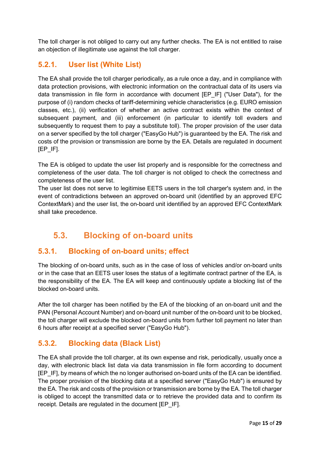The toll charger is not obliged to carry out any further checks. The EA is not entitled to raise an objection of illegitimate use against the toll charger.

### <span id="page-14-0"></span>**5.2.1. User list (White List)**

The EA shall provide the toll charger periodically, as a rule once a day, and in compliance with data protection provisions, with electronic information on the contractual data of its users via data transmission in file form in accordance with document [EP\_IF] ("User Data"), for the purpose of (i) random checks of tariff-determining vehicle characteristics (e.g. EURO emission classes, etc.), (ii) verification of whether an active contract exists within the context of subsequent payment*,* and (iii) enforcement (in particular to identify toll evaders and subsequently to request them to pay a substitute toll). The proper provision of the user data on a server specified by the toll charger ("EasyGo Hub") is guaranteed by the EA. The risk and costs of the provision or transmission are borne by the EA. Details are regulated in document [EP\_IF].

The EA is obliged to update the user list properly and is responsible for the correctness and completeness of the user data. The toll charger is not obliged to check the correctness and completeness of the user list.

The user list does not serve to legitimise EETS users in the toll charger's system and, in the event of contradictions between an approved on-board unit (identified by an approved EFC ContextMark) and the user list, the on-board unit identified by an approved EFC ContextMark shall take precedence.

## <span id="page-14-1"></span>**5.3. Blocking of on-board units**

### <span id="page-14-2"></span>**5.3.1. Blocking of on-board units; effect**

The blocking of on-board units, such as in the case of loss of vehicles and/or on-board units or in the case that an EETS user loses the status of a legitimate contract partner of the EA, is the responsibility of the EA. The EA will keep and continuously update a blocking list of the blocked on-board units.

After the toll charger has been notified by the EA of the blocking of an on-board unit and the PAN (Personal Account Number) and on-board unit number of the on-board unit to be blocked, the toll charger will exclude the blocked on-board units from further toll payment no later than 6 hours after receipt at a specified server ("EasyGo Hub").

### <span id="page-14-3"></span>**5.3.2. Blocking data (Black List)**

The EA shall provide the toll charger, at its own expense and risk, periodically, usually once a day, with electronic black list data via data transmission in file form according to document [EP\_IF], by means of which the no longer authorised on-board units of the EA can be identified. The proper provision of the blocking data at a specified server ("EasyGo Hub") is ensured by the EA. The risk and costs of the provision or transmission are borne by the EA. The toll charger is obliged to accept the transmitted data or to retrieve the provided data and to confirm its receipt. Details are regulated in the document [EP\_IF].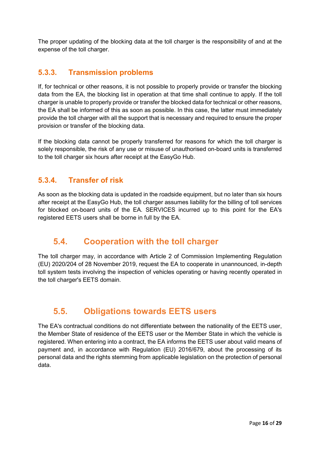The proper updating of the blocking data at the toll charger is the responsibility of and at the expense of the toll charger.

### <span id="page-15-0"></span>**5.3.3. Transmission problems**

If, for technical or other reasons, it is not possible to properly provide or transfer the blocking data from the EA, the blocking list in operation at that time shall continue to apply. If the toll charger is unable to properly provide or transfer the blocked data for technical or other reasons, the EA shall be informed of this as soon as possible. In this case, the latter must immediately provide the toll charger with all the support that is necessary and required to ensure the proper provision or transfer of the blocking data.

If the blocking data cannot be properly transferred for reasons for which the toll charger is solely responsible, the risk of any use or misuse of unauthorised on-board units is transferred to the toll charger six hours after receipt at the EasyGo Hub.

### <span id="page-15-1"></span>**5.3.4. Transfer of risk**

As soon as the blocking data is updated in the roadside equipment, but no later than six hours after receipt at the EasyGo Hub, the toll charger assumes liability for the billing of toll services for blocked on-board units of the EA. SERVICES incurred up to this point for the EA's registered EETS users shall be borne in full by the EA.

### <span id="page-15-2"></span>**5.4. Cooperation with the toll charger**

The toll charger may, in accordance with Article 2 of Commission Implementing Regulation (EU) 2020/204 of 28 November 2019, request the EA to cooperate in unannounced, in-depth toll system tests involving the inspection of vehicles operating or having recently operated in the toll charger's EETS domain.

### <span id="page-15-3"></span>**5.5. Obligations towards EETS users**

The EA's contractual conditions do not differentiate between the nationality of the EETS user, the Member State of residence of the EETS user or the Member State in which the vehicle is registered. When entering into a contract, the EA informs the EETS user about valid means of payment and, in accordance with Regulation (EU) 2016/679, about the processing of its personal data and the rights stemming from applicable legislation on the protection of personal data.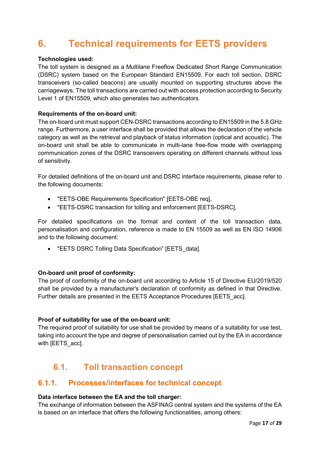# <span id="page-16-0"></span>**6. Technical requirements for EETS providers**

#### **Technologies used:**

The toll system is designed as a Multilane Freeflow Dedicated Short Range Communication (DSRC) system based on the European Standard EN15509. For each toll section, DSRC transceivers (so-called beacons) are usually mounted on supporting structures above the carriageways. The toll transactions are carried out with access protection according to Security Level 1 of EN15509, which also generates two authenticators.

#### **Requirements of the on-board unit:**

The on-board unit must support CEN-DSRC transactions according to EN15509 in the 5.8 GHz range. Furthermore, a user interface shall be provided that allows the declaration of the vehicle category as well as the retrieval and playback of status information (optical and acoustic). The on-board unit shall be able to communicate in multi-lane free-flow mode with overlapping communication zones of the DSRC transceivers operating on different channels without loss of sensitivity.

For detailed definitions of the on-board unit and DSRC interface requirements, please refer to the following documents:

- "EETS-OBE Requirements Specification" [EETS-OBE req],
- "EETS-DSRC transaction for tolling and enforcement [EETS-DSRC],

For detailed specifications on the format and content of the toll transaction data, personalisation and configuration, reference is made to EN 15509 as well as EN ISO 14906 and to the following document:

• "EETS DSRC Tolling Data Specification" [EETS\_data].

#### **On-board unit proof of conformity:**

The proof of conformity of the on-board unit according to Article 15 of Directive EU/2019/520 shall be provided by a manufacturer's declaration of conformity as defined in that Directive. Further details are presented in the EETS Acceptance Procedures [EETS\_acc].

#### **Proof of suitability for use of the on-board unit:**

The required proof of suitability for use shall be provided by means of a suitability for use test, taking into account the type and degree of personalisation carried out by the EA in accordance with **[EETS** acc].

### <span id="page-16-1"></span>**6.1. Toll transaction concept**

#### <span id="page-16-2"></span>**6.1.1. Processes/interfaces for technical concept**

#### **Data interface between the EA and the toll charger:**

The exchange of information between the ASFINAG central system and the systems of the EA is based on an interface that offers the following functionalities, among others: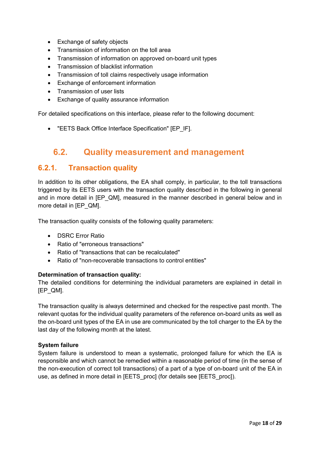- Exchange of safety objects
- Transmission of information on the toll area
- Transmission of information on approved on-board unit types
- Transmission of blacklist information
- Transmission of toll claims respectively usage information
- Exchange of enforcement information
- Transmission of user lists
- Exchange of quality assurance information

For detailed specifications on this interface, please refer to the following document:

• "EETS Back Office Interface Specification" [EP\_IF].

### <span id="page-17-0"></span>**6.2. Quality measurement and management**

#### <span id="page-17-1"></span>**6.2.1. Transaction quality**

In addition to its other obligations, the EA shall comply, in particular, to the toll transactions triggered by its EETS users with the transaction quality described in the following in general and in more detail in [EP\_QM], measured in the manner described in general below and in more detail in [EP\_QM].

The transaction quality consists of the following quality parameters:

- DSRC Error Ratio
- Ratio of "erroneous transactions"
- Ratio of "transactions that can be recalculated"
- Ratio of "non-recoverable transactions to control entities"

#### **Determination of transaction quality:**

The detailed conditions for determining the individual parameters are explained in detail in [EP\_QM].

The transaction quality is always determined and checked for the respective past month. The relevant quotas for the individual quality parameters of the reference on-board units as well as the on-board unit types of the EA in use are communicated by the toll charger to the EA by the last day of the following month at the latest.

#### **System failure**

System failure is understood to mean a systematic, prolonged failure for which the EA is responsible and which cannot be remedied within a reasonable period of time (in the sense of the non-execution of correct toll transactions) of a part of a type of on-board unit of the EA in use, as defined in more detail in [EETS\_proc] (for details see [EETS\_proc]).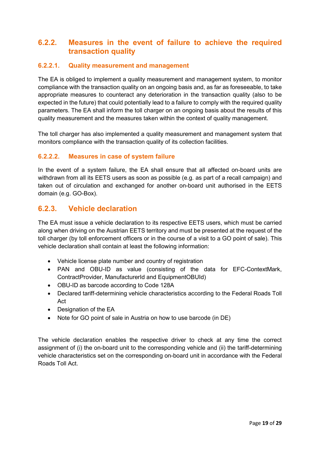### <span id="page-18-0"></span>**6.2.2. Measures in the event of failure to achieve the required transaction quality**

#### <span id="page-18-1"></span>**6.2.2.1. Quality measurement and management**

The EA is obliged to implement a quality measurement and management system, to monitor compliance with the transaction quality on an ongoing basis and, as far as foreseeable, to take appropriate measures to counteract any deterioration in the transaction quality (also to be expected in the future) that could potentially lead to a failure to comply with the required quality parameters. The EA shall inform the toll charger on an ongoing basis about the results of this quality measurement and the measures taken within the context of quality management.

The toll charger has also implemented a quality measurement and management system that monitors compliance with the transaction quality of its collection facilities.

#### <span id="page-18-2"></span>**6.2.2.2. Measures in case of system failure**

In the event of a system failure, the EA shall ensure that all affected on-board units are withdrawn from all its EETS users as soon as possible (e.g. as part of a recall campaign) and taken out of circulation and exchanged for another on-board unit authorised in the EETS domain (e.g. GO-Box).

#### <span id="page-18-3"></span>**6.2.3. Vehicle declaration**

The EA must issue a vehicle declaration to its respective EETS users, which must be carried along when driving on the Austrian EETS territory and must be presented at the request of the toll charger (by toll enforcement officers or in the course of a visit to a GO point of sale). This vehicle declaration shall contain at least the following information:

- Vehicle license plate number and country of registration
- PAN and OBU-ID as value (consisting of the data for EFC-ContextMark, ContractProvider, ManufacturerId and EquipmentOBUId)
- OBU-ID as barcode according to Code 128A
- Declared tariff-determining vehicle characteristics according to the Federal Roads Toll Act
- Designation of the EA
- Note for GO point of sale in Austria on how to use barcode (in DE)

The vehicle declaration enables the respective driver to check at any time the correct assignment of (i) the on-board unit to the corresponding vehicle and (ii) the tariff-determining vehicle characteristics set on the corresponding on-board unit in accordance with the Federal Roads Toll Act.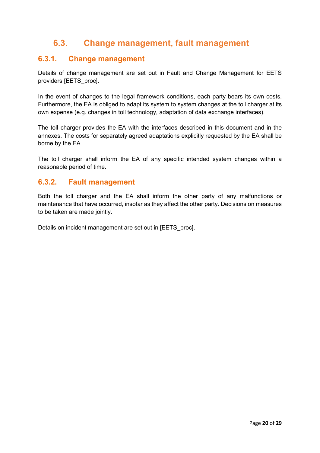## <span id="page-19-0"></span>**6.3. Change management, fault management**

### <span id="page-19-1"></span>**6.3.1. Change management**

Details of change management are set out in Fault and Change Management for EETS providers [EETS\_proc].

In the event of changes to the legal framework conditions, each party bears its own costs. Furthermore, the EA is obliged to adapt its system to system changes at the toll charger at its own expense (e.g. changes in toll technology, adaptation of data exchange interfaces).

The toll charger provides the EA with the interfaces described in this document and in the annexes. The costs for separately agreed adaptations explicitly requested by the EA shall be borne by the EA.

The toll charger shall inform the EA of any specific intended system changes within a reasonable period of time.

#### <span id="page-19-2"></span>**6.3.2. Fault management**

Both the toll charger and the EA shall inform the other party of any malfunctions or maintenance that have occurred, insofar as they affect the other party. Decisions on measures to be taken are made jointly.

Details on incident management are set out in [EETS\_proc].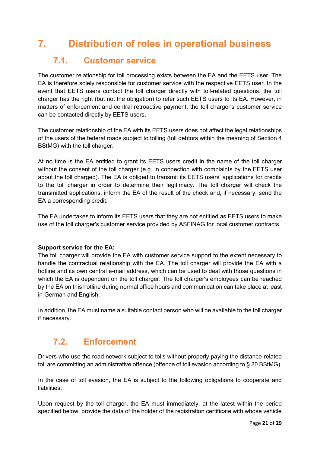# <span id="page-20-0"></span>**7. Distribution of roles in operational business**

### <span id="page-20-1"></span>**7.1. Customer service**

The customer relationship for toll processing exists between the EA and the EETS user. The EA is therefore solely responsible for customer service with the respective EETS user. In the event that EETS users contact the toll charger directly with toll-related questions, the toll charger has the right (but not the obligation) to refer such EETS users to its EA. However, in matters of enforcement and central retroactive payment, the toll charger's customer service can be contacted directly by EETS users.

The customer relationship of the EA with its EETS users does not affect the legal relationships of the users of the federal roads subject to tolling (toll debtors within the meaning of Section 4 BStMG) with the toll charger.

At no time is the EA entitled to grant its EETS users credit in the name of the toll charger without the consent of the toll charger (e.g. in connection with complaints by the EETS user about the toll charged). The EA is obliged to transmit its EETS users' applications for credits to the toll charger in order to determine their legitimacy. The toll charger will check the transmitted applications, inform the EA of the result of the check and, if necessary, send the EA a corresponding credit.

The EA undertakes to inform its EETS users that they are not entitled as EETS users to make use of the toll charger's customer service provided by ASFINAG for local customer contracts.

#### **Support service for the EA:**

The toll charger will provide the EA with customer service support to the extent necessary to handle the contractual relationship with the EA. The toll charger will provide the EA with a hotline and its own central e-mail address, which can be used to deal with those questions in which the EA is dependent on the toll charger. The toll charger's employees can be reached by the EA on this hotline during normal office hours and communication can take place at least in German and English.

In addition, the EA must name a suitable contact person who will be available to the toll charger if necessary.

## <span id="page-20-2"></span>**7.2. Enforcement**

Drivers who use the road network subject to tolls without properly paying the distance-related toll are committing an administrative offence (offence of toll evasion according to § 20 BStMG).

In the case of toll evasion, the EA is subject to the following obligations to cooperate and liabilities:

Upon request by the toll charger, the EA must immediately, at the latest within the period specified below, provide the data of the holder of the registration certificate with whose vehicle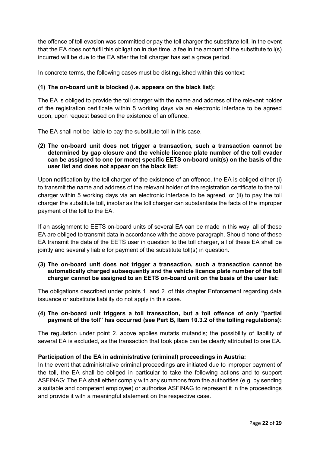the offence of toll evasion was committed or pay the toll charger the substitute toll. In the event that the EA does not fulfil this obligation in due time, a fee in the amount of the substitute toll(s) incurred will be due to the EA after the toll charger has set a grace period.

In concrete terms, the following cases must be distinguished within this context:

#### **(1) The on-board unit is blocked (i.e. appears on the black list):**

The EA is obliged to provide the toll charger with the name and address of the relevant holder of the registration certificate within 5 working days via an electronic interface to be agreed upon, upon request based on the existence of an offence.

The EA shall not be liable to pay the substitute toll in this case.

**(2) The on-board unit does not trigger a transaction, such a transaction cannot be determined by gap closure and the vehicle licence plate number of the toll evader can be assigned to one (or more) specific EETS on-board unit(s) on the basis of the user list and does not appear on the black list:**

Upon notification by the toll charger of the existence of an offence, the EA is obliged either (i) to transmit the name and address of the relevant holder of the registration certificate to the toll charger within 5 working days via an electronic interface to be agreed, or (ii) to pay the toll charger the substitute toll, insofar as the toll charger can substantiate the facts of the improper payment of the toll to the EA.

If an assignment to EETS on-board units of several EA can be made in this way, all of these EA are obliged to transmit data in accordance with the above paragraph. Should none of these EA transmit the data of the EETS user in question to the toll charger, all of these EA shall be jointly and severally liable for payment of the substitute toll(s) in question.

**(3) The on-board unit does not trigger a transaction, such a transaction cannot be automatically charged subsequently and the vehicle licence plate number of the toll charger cannot be assigned to an EETS on-board unit on the basis of the user list:**

The obligations described under points 1. and 2. of this chapter Enforcement regarding data issuance or substitute liability do not apply in this case.

#### **(4) The on-board unit triggers a toll transaction, but a toll offence of only "partial payment of the toll" has occurred (see Part B, Item 10.3.2 of the tolling regulations):**

The regulation under point 2. above applies mutatis mutandis; the possibility of liability of several EA is excluded, as the transaction that took place can be clearly attributed to one EA.

#### **Participation of the EA in administrative (criminal) proceedings in Austria:**

In the event that administrative criminal proceedings are initiated due to improper payment of the toll, the EA shall be obliged in particular to take the following actions and to support ASFINAG: The EA shall either comply with any summons from the authorities (e.g. by sending a suitable and competent employee) or authorise ASFINAG to represent it in the proceedings and provide it with a meaningful statement on the respective case.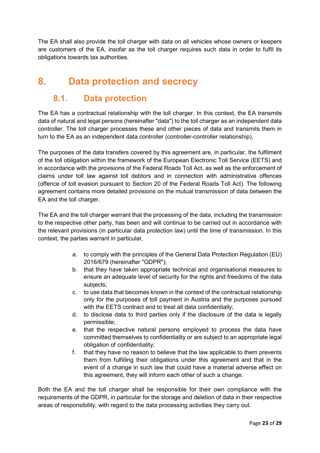The EA shall also provide the toll charger with data on all vehicles whose owners or keepers are customers of the EA, insofar as the toll charger requires such data in order to fulfil its obligations towards tax authorities.

# <span id="page-22-0"></span>**8. Data protection and secrecy**

### <span id="page-22-1"></span>**8.1. Data protection**

The EA has a contractual relationship with the toll charger. In this context, the EA transmits data of natural and legal persons (hereinafter "data") to the toll charger as an independent data controller. The toll charger processes these and other pieces of data and transmits them in turn to the EA as an independent data controller (controller-controller relationship).

The purposes of the data transfers covered by this agreement are, in particular, the fulfilment of the toll obligation within the framework of the European Electronic Toll Service (EETS) and in accordance with the provisions of the Federal Roads Toll Act, as well as the enforcement of claims under toll law against toll debtors and in connection with administrative offences (offence of toll evasion pursuant to Section 20 of the Federal Roads Toll Act). The following agreement contains more detailed provisions on the mutual transmission of data between the EA and the toll charger.

The EA and the toll charger warrant that the processing of the data, including the transmission to the respective other party, has been and will continue to be carried out in accordance with the relevant provisions (in particular data protection law) until the time of transmission. In this context, the parties warrant in particular,

- a. to comply with the principles of the General Data Protection Regulation (EU) 2016/679 (hereinafter "GDPR");
- b. that they have taken appropriate technical and organisational measures to ensure an adequate level of security for the rights and freedoms of the data subjects;
- c. to use data that becomes known in the context of the contractual relationship only for the purposes of toll payment in Austria and the purposes pursued with the EETS contract and to treat all data confidentially;
- d. to disclose data to third parties only if the disclosure of the data is legally permissible;
- e. that the respective natural persons employed to process the data have committed themselves to confidentiality or are subject to an appropriate legal obligation of confidentiality;
- f. that they have no reason to believe that the law applicable to them prevents them from fulfilling their obligations under this agreement and that in the event of a change in such law that could have a material adverse effect on this agreement, they will inform each other of such a change.

Both the EA and the toll charger shall be responsible for their own compliance with the requirements of the GDPR, in particular for the storage and deletion of data in their respective areas of responsibility, with regard to the data processing activities they carry out.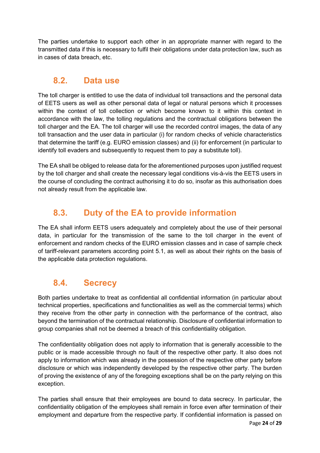The parties undertake to support each other in an appropriate manner with regard to the transmitted data if this is necessary to fulfil their obligations under data protection law, such as in cases of data breach, etc.

### <span id="page-23-0"></span>**8.2. Data use**

The toll charger is entitled to use the data of individual toll transactions and the personal data of EETS users as well as other personal data of legal or natural persons which it processes within the context of toll collection or which become known to it within this context in accordance with the law, the tolling regulations and the contractual obligations between the toll charger and the EA. The toll charger will use the recorded control images, the data of any toll transaction and the user data in particular (i) for random checks of vehicle characteristics that determine the tariff (e.g. EURO emission classes) and (ii) for enforcement (in particular to identify toll evaders and subsequently to request them to pay a substitute toll).

The EA shall be obliged to release data for the aforementioned purposes upon justified request by the toll charger and shall create the necessary legal conditions vis-à-vis the EETS users in the course of concluding the contract authorising it to do so, insofar as this authorisation does not already result from the applicable law.

## <span id="page-23-1"></span>**8.3. Duty of the EA to provide information**

The EA shall inform EETS users adequately and completely about the use of their personal data, in particular for the transmission of the same to the toll charger in the event of enforcement and random checks of the EURO emission classes and in case of sample check of tariff-relevant parameters according point 5.1, as well as about their rights on the basis of the applicable data protection regulations.

## <span id="page-23-2"></span>**8.4. Secrecy**

Both parties undertake to treat as confidential all confidential information (in particular about technical properties, specifications and functionalities as well as the commercial terms) which they receive from the other party in connection with the performance of the contract, also beyond the termination of the contractual relationship. Disclosure of confidential information to group companies shall not be deemed a breach of this confidentiality obligation.

The confidentiality obligation does not apply to information that is generally accessible to the public or is made accessible through no fault of the respective other party. It also does not apply to information which was already in the possession of the respective other party before disclosure or which was independently developed by the respective other party. The burden of proving the existence of any of the foregoing exceptions shall be on the party relying on this exception.

The parties shall ensure that their employees are bound to data secrecy. In particular, the confidentiality obligation of the employees shall remain in force even after termination of their employment and departure from the respective party. If confidential information is passed on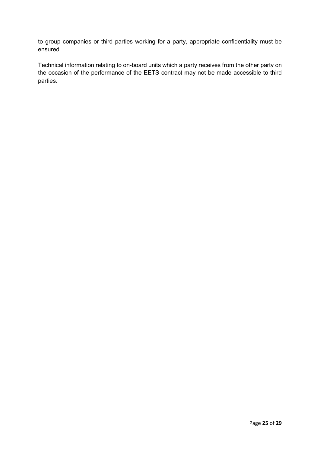to group companies or third parties working for a party, appropriate confidentiality must be ensured.

Technical information relating to on-board units which a party receives from the other party on the occasion of the performance of the EETS contract may not be made accessible to third parties.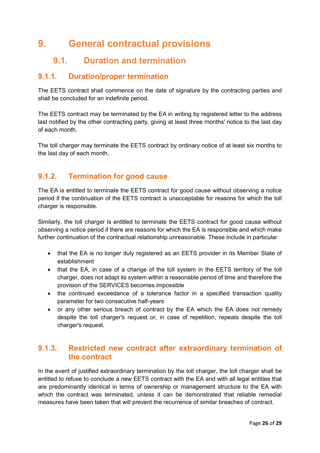# <span id="page-25-0"></span>**9. General contractual provisions**

## <span id="page-25-1"></span>**9.1. Duration and termination**

### <span id="page-25-2"></span>**9.1.1. Duration/proper termination**

The EETS contract shall commence on the date of signature by the contracting parties and shall be concluded for an indefinite period.

The EETS contract may be terminated by the EA in writing by registered letter to the address last notified by the other contracting party, giving at least three months' notice to the last day of each month.

The toll charger may terminate the EETS contract by ordinary notice of at least six months to the last day of each month.

### <span id="page-25-3"></span>**9.1.2. Termination for good cause**

The EA is entitled to terminate the EETS contract for good cause without observing a notice period if the continuation of the EETS contract is unacceptable for reasons for which the toll charger is responsible.

Similarly, the toll charger is entitled to terminate the EETS contract for good cause without observing a notice period if there are reasons for which the EA is responsible and which make further continuation of the contractual relationship unreasonable. These include in particular

- that the EA is no longer duly registered as an EETS provider in its Member State of establishment
- that the EA, in case of a change of the toll system in the EETS territory of the toll charger, does not adapt its system within a reasonable period of time and therefore the provision of the SERVICES becomes impossible
- the continued exceedance of a tolerance factor in a specified transaction quality parameter for two consecutive half-years
- or any other serious breach of contract by the EA which the EA does not remedy despite the toll charger's request or, in case of repetition, repeats despite the toll charger's request.

#### <span id="page-25-4"></span>**9.1.3. Restricted new contract after extraordinary termination of the contract**

In the event of justified extraordinary termination by the toll charger, the toll charger shall be entitled to refuse to conclude a new EETS contract with the EA and with all legal entities that are predominantly identical in terms of ownership or management structure to the EA with which the contract was terminated, unless it can be demonstrated that reliable remedial measures have been taken that will prevent the recurrence of similar breaches of contract.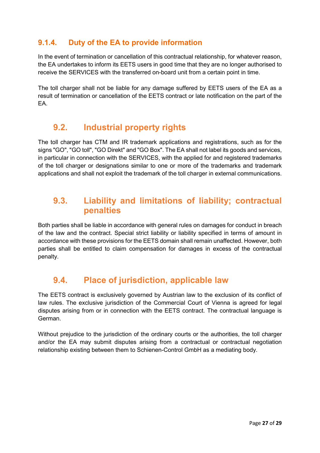### <span id="page-26-0"></span>**9.1.4. Duty of the EA to provide information**

In the event of termination or cancellation of this contractual relationship, for whatever reason, the EA undertakes to inform its EETS users in good time that they are no longer authorised to receive the SERVICES with the transferred on-board unit from a certain point in time.

The toll charger shall not be liable for any damage suffered by EETS users of the EA as a result of termination or cancellation of the EETS contract or late notification on the part of the EA.

### <span id="page-26-1"></span>**9.2. Industrial property rights**

The toll charger has CTM and IR trademark applications and registrations, such as for the signs "GO", "GO toll", "GO Direkt" and "GO Box". The EA shall not label its goods and services, in particular in connection with the SERVICES, with the applied for and registered trademarks of the toll charger or designations similar to one or more of the trademarks and trademark applications and shall not exploit the trademark of the toll charger in external communications.

### <span id="page-26-2"></span>**9.3. Liability and limitations of liability; contractual penalties**

Both parties shall be liable in accordance with general rules on damages for conduct in breach of the law and the contract. Special strict liability or liability specified in terms of amount in accordance with these provisions for the EETS domain shall remain unaffected. However, both parties shall be entitled to claim compensation for damages in excess of the contractual penalty.

## <span id="page-26-3"></span>**9.4. Place of jurisdiction, applicable law**

The EETS contract is exclusively governed by Austrian law to the exclusion of its conflict of law rules. The exclusive jurisdiction of the Commercial Court of Vienna is agreed for legal disputes arising from or in connection with the EETS contract. The contractual language is German.

Without prejudice to the jurisdiction of the ordinary courts or the authorities, the toll charger and/or the EA may submit disputes arising from a contractual or contractual negotiation relationship existing between them to Schienen-Control GmbH as a mediating body.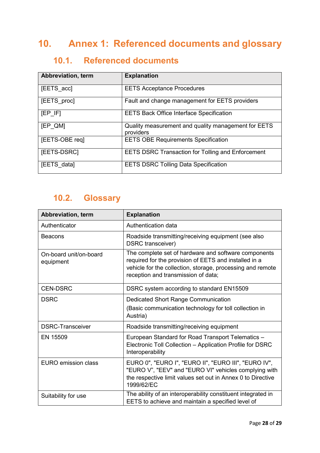# <span id="page-27-0"></span>**10. Annex 1: Referenced documents and glossary**

# <span id="page-27-1"></span>**10.1. Referenced documents**

| Abbreviation, term | <b>Explanation</b>                                               |
|--------------------|------------------------------------------------------------------|
| [EETS_acc]         | <b>EETS Acceptance Procedures</b>                                |
| [EETS_proc]        | Fault and change management for EETS providers                   |
| $[EP$ $IF]$        | <b>EETS Back Office Interface Specification</b>                  |
| [EP QM]            | Quality measurement and quality management for EETS<br>providers |
| [EETS-OBE req]     | <b>EETS OBE Requirements Specification</b>                       |
| [EETS-DSRC]        | <b>EETS DSRC Transaction for Tolling and Enforcement</b>         |
| [EETS_data]        | <b>EETS DSRC Tolling Data Specification</b>                      |

## <span id="page-27-2"></span>**10.2. Glossary**

| Abbreviation, term                  | <b>Explanation</b>                                                                                                                                                                                                 |
|-------------------------------------|--------------------------------------------------------------------------------------------------------------------------------------------------------------------------------------------------------------------|
| Authenticator                       | Authentication data                                                                                                                                                                                                |
| Beacons                             | Roadside transmitting/receiving equipment (see also<br><b>DSRC</b> transceiver)                                                                                                                                    |
| On-board unit/on-board<br>equipment | The complete set of hardware and software components<br>required for the provision of EETS and installed in a<br>vehicle for the collection, storage, processing and remote<br>reception and transmission of data; |
| <b>CEN-DSRC</b>                     | DSRC system according to standard EN15509                                                                                                                                                                          |
| <b>DSRC</b>                         | <b>Dedicated Short Range Communication</b>                                                                                                                                                                         |
|                                     | (Basic communication technology for toll collection in<br>Austria)                                                                                                                                                 |
| <b>DSRC-Transceiver</b>             | Roadside transmitting/receiving equipment                                                                                                                                                                          |
| EN 15509                            | European Standard for Road Transport Telematics -<br>Electronic Toll Collection - Application Profile for DSRC<br>Interoperability                                                                                 |
| <b>EURO</b> emission class          | EURO 0", "EURO I", "EURO II", "EURO III", "EURO IV",<br>"EURO V", "EEV" and "EURO VI" vehicles complying with<br>the respective limit values set out in Annex 0 to Directive<br>1999/62/EC                         |
| Suitability for use                 | The ability of an interoperability constituent integrated in<br>EETS to achieve and maintain a specified level of                                                                                                  |